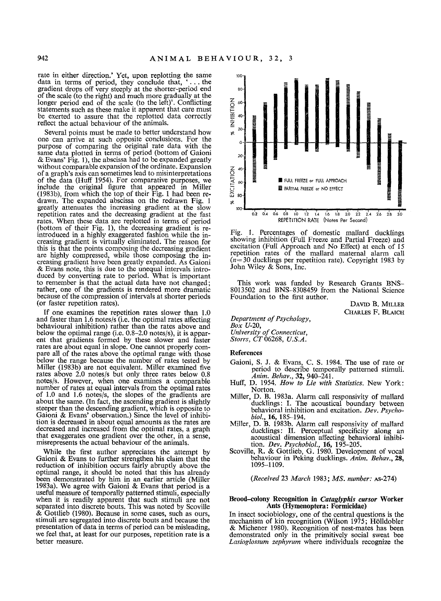rate in either direction.' Yet, upon replotting the same data in terms of period, they conclude that, '... the gradient drops off very steeply at the shorter-period end of the scale (to the right) and much more gradually at the longer period end of the scale (to the left)'. Conflicting statements such as these make it apparent that care must be exerted to assure that the replotted data correctly reflect the actual behaviour of the animals.

Several points must be made to better understand how one can arrive at such opposite conclusions. For the purpose of comparing the original rate data with the same data plotted in terms of period (bottom of Gaioni & Evans' Fig. 1), the abscissa had to be expanded greatly without comparable expansion of the ordinate. Expansion of a graph's axis can sometimes lead to misinterpretations of the data (Ituff 1954). For comparative purposes, we include the original figure that appeared in Miller (1983b), from which the top of their Fig. 1 had been re-drawn. The expanded abscissa on the redrawn Fig. 1 greatly attenuates the increasing gradient at the slow repetition rates and the decreasing gradient at the fast<br>rates. When these data are replotted in terms of period<br>(bottom of their Fig. 1), the decreasing gradient is re-<br>introduced in a highly exaggerated fashion while the creasing gradient is virtually eliminated. The reason for this is that the points composing the decreasing gradient are highly compressed, while those composing the increasing gradient have been greatly expanded. As Gaioni & Evans note, this is due to the unequal intervals intro-duced by converting rate to period. What is important to remember is that the actual data have not changed; rather, one of the gradients is rendered more dramatic because of the compression of intervals at shorter periods (or faster repetition rates).

If one examines the repetition rates slower than 1.0 and faster than 1.6 notes/s (i.e. the optimal rates affecting behavioural inhibition) rather than the rates above and below the optimal range (i.e. 0.8-2.0 notes/s), it is apparent that gradients formed by these slower and faster rates are about equal in slope. One cannot properly compare all of the rates above the optimal range with those below the range because the number of rates tested by Miller (1983b) are not equivalent. Miller examined five rates above 2.0 notes/s but only three rates below 0.8 notes/s. However, when one examines a comparable number of rates at equal intervals from the optimal rates of 1.0 and 1.6 notes/s, the slopes of the gradients are about the same. (In fact, the ascending gradient is slightly steeper than the descending gradient, which is opposite to Gaioni & Evans' observation.) Since the level of inhibition is decreased in about equal amounts as the rates are decreased and increased from the optimal rates, a graph that exaggerates one gradient over the other, in a sense, misrepresents the actual behaviour of the animals.

While the first author appreciates the attempt by Gaioni & Evans to further strengthen his claim that the reduction of inhibition occurs fairly abruptly above the optimal range, it should be noted that this has already been demonstrated by him in an earlier article (Miller 1983a). We agree with Galoni & Evans that period is a useful measure of temporally patterned stimuli, especially when it is readily apparent that such stimuli are not separated into discrete bouts. This was noted by Scoville & Gottlieb (1980). Because in some cases, such as ours, stimuli are segregated into discrete bouts and because the presentation of data in terms of period can be misleading, we feel that, at least for our purposes, repetition rate is a better measure.



Fig. 1. Percentages of domestic mallard ducklings showing inhibition (Full Freeze and Partial Freeze) and excitation (Full Approach and No Effect) at each of 15 repetition rates of the mallard maternal alarm call  $(n=30)$  ducklings per repetition rate). Copyright 1983 by John Wiley & Sons, Inc.

This work was funded by Research Grants BNS-8013502 and BNS-8308459 from the National Science Foundation to the first author.

DAVID B. MILLER CHARLES F. BLAICH

*Department of Psychology, Box* U-20, *University of Connecticut, Storrs,* CT06268, *U.S.A.* 

## **References**

- Gaioni, S. J. & Evans, C. S. 1984. The use of rate or period to describe temporally patterned stimuli. *Anita. Behav.,* 32, 940-241.
- Huff, D. 1954. *How to Lie with Statistics.* New York: Norton.
- Miller, D. B. 1983a. Alarm call responsivity of mallard ducklings: I. The acoustical boundary between behavioral inhibition and excitation. *Dev. Psycho-*
- *biol.,* 16, 185-194. Miller, D. B. 1983b. Alarm call responsivity of mallard ducklings: IL Perceptual specificity along an acoustical dimension affecting behavioral inhibi-tion. *Dev. Psychobiol.,* 16, 195-205. ScoviUe, R. & Gottlieb, G. 1980. Development of vocal
- behaviour in Peking ducklings. Anim. Behav., 28, 1095-1109.

*(Received* 23 *March* 1983; *MS. number:* AS-274)

## **Brood-colony Recognition in** *Cataglyphis cursor* **Worker Ants (Hymenoptera: Formicidae)**

In insect sociobiology, one of the central questions is the mechanism of kin recognition (Wilson  $1975$ ; Hölldobler & Michener 1980). Recognition of nest-mates has been demonstrated only in the primitively social sweat bee *Lasioglossum zephyrum* where individuals recognize the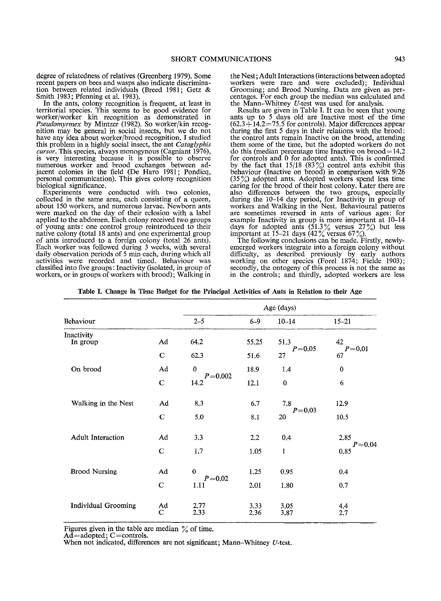degree of relatedness of relatives (Greenberg 1979). Some recent papers on bees and wasps also indicate discrimination between related individuals (Breed 1981; Getz & Smith 1983; Pfenning et al. 1983).

In the ants, colony recognition is frequent, at least in territorial species. This seems to be good evidence for worker/worker kin recognition as demonstrated in *Pseudomyrmex* by Mintzer (1982). So worker/kin recognition may be general in social insects, but we do not have any idea about worker/brood recognition. I studied this problem in a highly social insect, the ant *Cataglyphis cursor.* This species, always monogynous (Cagniant 1976), is very interesting because it is possible to observe numerous worker and brood exchanges between adjacent colonies in the field (De Haro 1981; Pondicq, personal communication). This gives colony recognition biological significance.

Experiments were conducted with two colonies, collected in the same area, each consisting of a queen, about 150 workers, and numerous larvae. Newborn ants were marked on the day of their eclosion with a label applied to the abdomen. Each colony received two groups of young ants: one control group reintroduced to their native colony (total 18 ants) and one experimental group of ants introduced to a foreign colony (total 26 ants). Each worker was followed during 3 weeks, with several daily observation periods of 5 min each, during which all<br>activities were recorded and timed. Behaviour was classified into five groups: Inactivity (isolated, in group of workers, or in groups of workers with brood); Walking in

the Nest; Adult Interactions (interactions between adopted workers were rare and were excluded); Individual Grooming; and Brood Nursing. Data are given as percentages. For each group the median was calculated and the Mann-Whitney U-test was used for analysis.

Results are given in Table I. It can be seen that young ants up to 5 days old are Inactive most of the time  $(62.3+14.2=75.5$  for controls). Major differences appear during the first 5 days in their relations with the brood: the control ants remain Inactive on the brood, attending them some of the time, but the adopted workers do not do this (median percentage time Inactive on  $b$ rood = 14.2 for controls and 0 for adopted ants). This is confirmed by the fact that  $15/18$  (83%) control ants exhibit this behaviour (Inactive on brood) in comparison with 9/26 (35 %) adopted ants. Adopted workers spend less time caring for the brood of their host colony. Later there are also differences between the two groups, especially during the 10-14 day period, for Inactivity in group of workers and Walking in the Nest. Behavioural patterns are sometimes reversed in ants of various ages: for example Inactivity in group is more important at 10-14 days for adopted ants  $(51.3\%$  versus  $27\%)$  but less important at 15–21 days  $(42\%$  versus 67%).

The following conclusions can be made. Firstly, newlyemerged workers integrate into a foreign colony without difficulty, as described previously by early authors working on other species (Forel 1874; Fielde 1903); secondly, the ontogeny of this process is not the same as in the controls; and thirdly, adopted workers are less

|  |  |  | Table I. Change in Time Budget for the Principal Activities of Ants in Relation to their Age |  |  |  |
|--|--|--|----------------------------------------------------------------------------------------------|--|--|--|
|  |  |  |                                                                                              |  |  |  |

|                            |                      | Age (days)          |              |                    |                    |  |  |  |
|----------------------------|----------------------|---------------------|--------------|--------------------|--------------------|--|--|--|
| Behaviour                  | $2 - 5$              | $6 - 9$             | $10 - 14$    | $15 - 21$          |                    |  |  |  |
| Inactivity<br>In group     | Ad                   | 64.2                | 55.25        | 51.3<br>$P = 0.05$ | 42<br>$P = 0.01$   |  |  |  |
|                            | $\mathbf C$          | 62.3                | 51.6         | 27                 | 67                 |  |  |  |
| On brood                   | Ad                   | $\theta$            | 18.9         | 1.4                | 0                  |  |  |  |
|                            | $\mathbf C$          | $P = 0.002$<br>14.2 | 12.1         | $\bf{0}$           | 6                  |  |  |  |
| Walking in the Nest        | Ad                   | 8.3                 | 6.7          | 7.8                | 12.9               |  |  |  |
|                            | $\mathbf C$          | 5,0                 | 8.1          | $P = 0.03$<br>20   | 10.5               |  |  |  |
| <b>Adult Interaction</b>   | Ad                   | 3.3                 | 2,2          | 0.4                | 2.85               |  |  |  |
|                            | $\mathbf C$          | 1.7                 | 1.05         | $\mathbf{1}$       | $P = 0.04$<br>0.85 |  |  |  |
| <b>Brood Nursing</b>       | Ad                   | $\bf{0}$            | 1.25         | 0.95               | 0.4                |  |  |  |
|                            | C                    | $P = 0.02$<br>1.11  | 2.01         | 1.80               | 0.7                |  |  |  |
| <b>Individual Grooming</b> | Ad<br>$\overline{C}$ | 2.77<br>2.33        | 3.33<br>2.36 | 3.05<br>3,87       | 4.4<br>2.7         |  |  |  |

Figures given in the table are median  $\%$  of time.

 $Ad =$ adopted; C=controls.

When not indicated, differences are not significant; Mann-Whitney U-test.